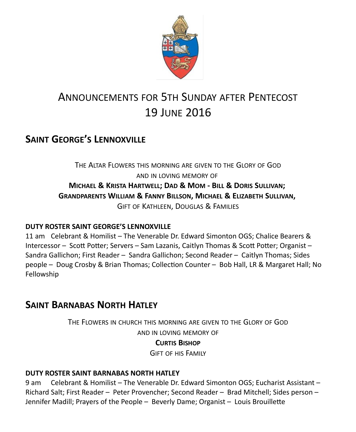

# ANNOUNCEMENTS FOR 5TH SUNDAY AFTER PENTECOST 19 JUNE 2016

# **SAINT GEORGE'S LENNOXVILLE**

THE ALTAR FLOWERS THIS MORNING ARE GIVEN TO THE GLORY OF GOD AND IN LOVING MEMORY OF **MICHAEL & KRISTA HARTWELL; DAD & MOM - BILL & DORIS SULLIVAN; GRANDPARENTS WILLIAM & FANNY BILLSON, MICHAEL & ELIZABETH SULLIVAN,**  GIFT OF KATHLEEN, DOUGLAS & FAMILIES

#### **DUTY ROSTER SAINT GEORGE'S LENNOXVILLE**

11 am Celebrant & Homilist – The Venerable Dr. Edward Simonton OGS; Chalice Bearers & Intercessor – Scott Potter; Servers – Sam Lazanis, Caitlyn Thomas & Scott Potter; Organist – Sandra Gallichon; First Reader – Sandra Gallichon; Second Reader – Caitlyn Thomas; Sides people – Doug Crosby & Brian Thomas; Collection Counter – Bob Hall, LR & Margaret Hall; No Fellowship

## **SAINT BARNABAS NORTH HATLEY**

THE FLOWERS IN CHURCH THIS MORNING ARE GIVEN TO THE GLORY OF GOD AND IN LOVING MEMORY OF

#### **CURTIS BISHOP**

GIFT OF HIS FAMILY

#### **DUTY ROSTER SAINT BARNABAS NORTH HATLEY**

9 am Celebrant & Homilist – The Venerable Dr. Edward Simonton OGS; Eucharist Assistant – Richard Salt; First Reader – Peter Provencher; Second Reader – Brad Mitchell; Sides person – Jennifer Madill; Prayers of the People – Beverly Dame; Organist – Louis Brouillette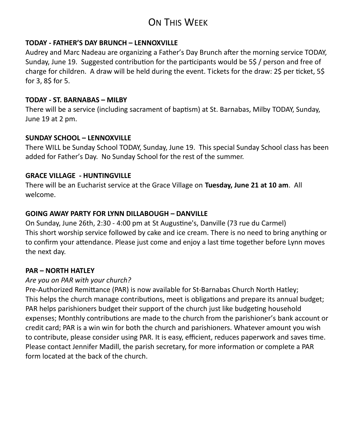# ON THIS WEEK

#### **TODAY - FATHER'S DAY BRUNCH – LENNOXVILLE**

Audrey and Marc Nadeau are organizing a Father's Day Brunch after the morning service TODAY, Sunday, June 19. Suggested contribution for the participants would be 5\$ / person and free of charge for children. A draw will be held during the event. Tickets for the draw: 2\$ per ticket, 5\$ for 3, 8\$ for 5.

#### **TODAY - ST. BARNABAS – MILBY**

There will be a service (including sacrament of baptism) at St. Barnabas, Milby TODAY, Sunday, June 19 at 2 pm.

#### **SUNDAY SCHOOL – LENNOXVILLE**

There WILL be Sunday School TODAY, Sunday, June 19. This special Sunday School class has been added for Father's Day. No Sunday School for the rest of the summer.

#### **GRACE VILLAGE - HUNTINGVILLE**

There will be an Eucharist service at the Grace Village on **Tuesday, June 21 at 10 am**. All welcome.

#### **GOING AWAY PARTY FOR LYNN DILLABOUGH – DANVILLE**

On Sunday, June 26th, 2:30 - 4:00 pm at St Augustine's, Danville (73 rue du Carmel) This short worship service followed by cake and ice cream. There is no need to bring anything or to confirm your attendance. Please just come and enjoy a last time together before Lynn moves the next day.

#### **PAR – NORTH HATLEY**

#### *Are you on PAR with your church?*

Pre-Authorized Remittance (PAR) is now available for St-Barnabas Church North Hatley; This helps the church manage contributions, meet is obligations and prepare its annual budget; PAR helps parishioners budget their support of the church just like budgeting household expenses; Monthly contributions are made to the church from the parishioner's bank account or credit card; PAR is a win win for both the church and parishioners. Whatever amount you wish to contribute, please consider using PAR. It is easy, efficient, reduces paperwork and saves time. Please contact Jennifer Madill, the parish secretary, for more information or complete a PAR form located at the back of the church.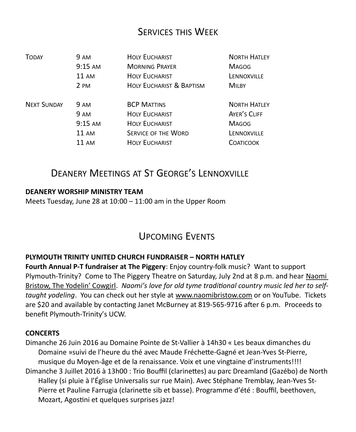### SERVICES THIS WEEK

| <b>TODAY</b>       | <b>9 AM</b>     | <b>HOLY EUCHARIST</b>               | <b>NORTH HATLEY</b> |
|--------------------|-----------------|-------------------------------------|---------------------|
|                    | $9:15$ AM       | <b>MORNING PRAYER</b>               | <b>MAGOG</b>        |
|                    | $11 \text{ AM}$ | <b>HOLY EUCHARIST</b>               | LENNOXVILLE         |
|                    | 2 PM            | <b>HOLY EUCHARIST &amp; BAPTISM</b> | <b>MILBY</b>        |
| <b>NEXT SUNDAY</b> | 9 AM            | <b>BCP MATTINS</b>                  | <b>NORTH HATLEY</b> |
|                    | 9 AM            | <b>HOLY EUCHARIST</b>               | AYER'S CLIFF        |
|                    | $9:15$ AM       | <b>HOLY EUCHARIST</b>               | <b>MAGOG</b>        |
|                    | $11 \text{ AM}$ | <b>SERVICE OF THE WORD</b>          | LENNOXVILLE         |
|                    | 11 AM           | <b>HOLY EUCHARIST</b>               | COATICOOK           |

## DEANERY MEETINGS AT ST GEORGE'S LENNOXVILLE

#### **DEANERY WORSHIP MINISTRY TEAM**

Meets Tuesday, June 28 at 10:00 – 11:00 am in the Upper Room

### UPCOMING EVENTS

#### **PLYMOUTH TRINITY UNITED CHURCH FUNDRAISER – NORTH HATLEY**

**Fourth Annual P-T fundraiser at The Piggery**: Enjoy country-folk music? Want to support Plymouth-Trinity? Come to The Piggery Theatre on Saturday, July 2nd at 8 p.m. and hear Naomi Bristow, The Yodelin' Cowgirl. *Naomi's love for old tyme traditional country music led her to selftaught yodeling*. You can check out her style at [www.naomibristow.com](https://webmail.ubishops.ca/owa/redir.aspx?REF=NQKowh0lFeU5Lt9KZwKn5VdvJF9k6inWjGk_sTs517uMKDLz45XTCAFodHRwOi8vd3d3Lm5hb21pYnJpc3Rvdy5jb20v) or on YouTube. Tickets are \$20 and available by contacting Janet McBurney at 819-565-9716 after 6 p.m. Proceeds to benefit Plymouth-Trinity's UCW.

#### **CONCERTS**

Dimanche 26 Juin 2016 au Domaine Pointe de St-Vallier à 14h30 « Les beaux dimanches du Domaine »suivi de l'heure du thé avec Maude Fréchette-Gagné et Jean-Yves St-Pierre, musique du Moyen-âge et de la renaissance. Voix et une vingtaine d'instruments!!!! Dimanche 3 Juillet 2016 à 13h00 : Trio Bouffil (clarinettes) au parc Dreamland (Gazébo) de North Halley (si pluie à l'Église Universalis sur rue Main). Avec Stéphane Tremblay, Jean-Yves St-Pierre et Pauline Farrugia (clarinette sib et basse). Programme d'été : Bouffil, beethoven, Mozart, Agostini et quelques surprises jazz!